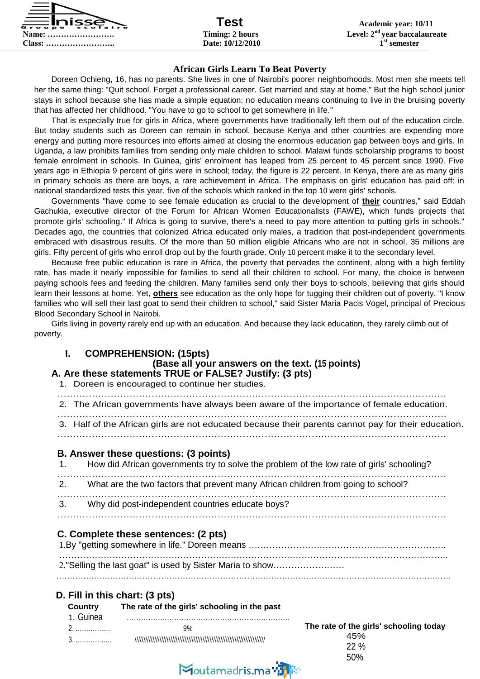

#### **African Girls Learn To Beat Poverty**

Doreen Ochieng, 16, has no parents. She lives in one of Nairobi's poorer neighborhoods. Most men she meets tell her the same thing: "Quit school. Forget a professional career. Get married and stay at home." But the high school junior stays in school because she has made a simple equation: no education means continuing to live in the bruising poverty that has affected her childhood. "You have to go to school to get somewhere in life."

That is especially true for girls in Africa, where governments have traditionally left them out of the education circle. But today students such as Doreen can remain in school, because Kenya and other countries are expending more energy and putting more resources into efforts aimed at closing the enormous education gap between boys and girls. In Uganda, a law prohibits families from sending only male children to school. Malawi funds scholarship programs to boost female enrolment in schools. In Guinea, girls' enrolment has leaped from 25 percent to 45 percent since 1990. Five years ago in Ethiopia 9 percent of girls were in school; today, the figure is 22 percent. In Kenya, there are as many girls in primary schools as there are boys, a rare achievement in Africa. The emphasis on girls' education has paid off: in national standardized tests this year, five of the schools which ranked in the top 10 were girls' schools.

Governments "have come to see female education as crucial to the development of **their** countries," said Eddah Gachukia, executive director of the Forum for African Women Educationalists (FAWE), which funds projects that promote girls' schooling." If Africa is going to survive, there's a need to pay more attention to putting girls in schools." Decades ago, the countries that colonized Africa educated only males, a tradition that post-independent governments embraced with disastrous results. Of the more than 50 million eligible Africans who are not in school, 35 millions are girls. Fifty percent of girls who enroll drop out by the fourth grade. Only 10 percent make it to the secondary level.

Because free public education is rare in Africa, the poverty that pervades the continent, along with a high fertility rate, has made it nearly impossible for families to send all their children to school. For many, the choice is between paying schools fees and feeding the children. Many families send only their boys to schools, believing that girls should learn their lessons at home. Yet, **others** see education as the only hope for tugging their children out of poverty. "I know families who will sell their last goat to send their children to school," said Sister Maria Pacis Vogel, principal of Precious Blood Secondary School in Nairobi.

Girls living in poverty rarely end up with an education. And because they lack education, they rarely climb out of poverty.

#### **I. COMPREHENSION: (15pts)**

#### **(Base all your answers on the text. (15 points) A. Are these statements TRUE or FALSE? Justify: (3 pts)**

1. Doreen is encouraged to continue her studies.

| 2. The African governments have always been aware of the importance of female education.            |
|-----------------------------------------------------------------------------------------------------|
| 3. Half of the African girls are not educated because their parents cannot pay for their education. |

#### **B. Answer these questions: (3 points)**

| 1. How did African governments try to solve the problem of the low rate of girls' schooling? |
|----------------------------------------------------------------------------------------------|
| 2. What are the two factors that prevent many African children from going to school?         |
| 3. Why did post-independent countries educate boys?                                          |
|                                                                                              |

#### **C. Complete these sentences: (2 pts)**

| 2."Selling the last goat" is used by Sister Maria to show |
|-----------------------------------------------------------|
|                                                           |

#### **D. Fill in this chart: (3 pts)**

**Country The rate of the girls' schooling in the past**

| . | The rate of the gi          |
|---|-----------------------------|
|   |                             |
| . | $\sim$ $\sim$ $\sim$ $\sim$ |

| The rate of the girls' schooling today |  |
|----------------------------------------|--|
| 45%                                    |  |
| 22%                                    |  |
| 50%                                    |  |